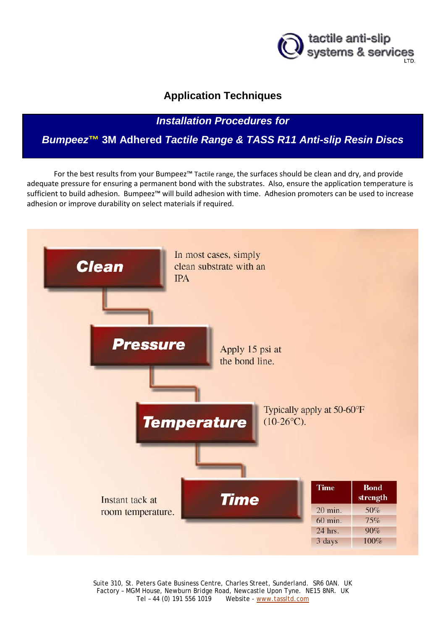

# **Application Techniques**

*Installation Procedures for*

*Bumpeez***™ 3M Adhered** *Tactile Range & TASS R11 Anti-slip Resin Discs*

For the best results from your Bumpeez™ Tactile range, the surfaces should be clean and dry, and provide adequate pressure for ensuring a permanent bond with the substrates. Also, ensure the application temperature is sufficient to build adhesion. Bumpeez™ will build adhesion with time. Adhesion promoters can be used to increase adhesion or improve durability on select materials if required.



Suite 310, St. Peters Gate Business Centre, Charles Street, Sunderland. SR6 0AN. UK Factory – MGM House, Newburn Bridge Road, Newcastle Upon Tyne. NE15 8NR. UK Tel – 44 (0) 191 556 1019 Website - [www.tassltd.com](http://www.tassltd.com/)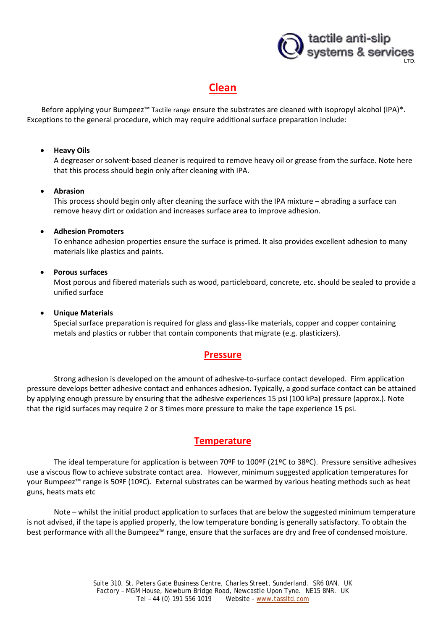

# **Clean**

Before applying your Bumpeez<sup>™</sup> Tactile range ensure the substrates are cleaned with isopropyl alcohol (IPA)\*. Exceptions to the general procedure, which may require additional surface preparation include:

#### • **Heavy Oils**

A degreaser or solvent-based cleaner is required to remove heavy oil or grease from the surface. Note here that this process should begin only after cleaning with IPA.

#### • **Abrasion**

This process should begin only after cleaning the surface with the IPA mixture – abrading a surface can remove heavy dirt or oxidation and increases surface area to improve adhesion.

#### • **Adhesion Promoters**

To enhance adhesion properties ensure the surface is primed. It also provides excellent adhesion to many materials like plastics and paints.

#### • **Porous surfaces**

Most porous and fibered materials such as wood, particleboard, concrete, etc. should be sealed to provide a unified surface

#### • **Unique Materials**

Special surface preparation is required for glass and glass-like materials, copper and copper containing metals and plastics or rubber that contain components that migrate (e.g. plasticizers).

### **Pressure**

Strong adhesion is developed on the amount of adhesive-to-surface contact developed. Firm application pressure develops better adhesive contact and enhances adhesion. Typically, a good surface contact can be attained by applying enough pressure by ensuring that the adhesive experiences 15 psi (100 kPa) pressure (approx.). Note that the rigid surfaces may require 2 or 3 times more pressure to make the tape experience 15 psi.

### **Temperature**

The ideal temperature for application is between 70ºF to 100ºF (21ºC to 38ºC). Pressure sensitive adhesives use a viscous flow to achieve substrate contact area. However, minimum suggested application temperatures for your Bumpeez™ range is 50ºF (10ºC). External substrates can be warmed by various heating methods such as heat guns, heats mats etc

Note – whilst the initial product application to surfaces that are below the suggested minimum temperature is not advised, if the tape is applied properly, the low temperature bonding is generally satisfactory. To obtain the best performance with all the Bumpeez™ range, ensure that the surfaces are dry and free of condensed moisture.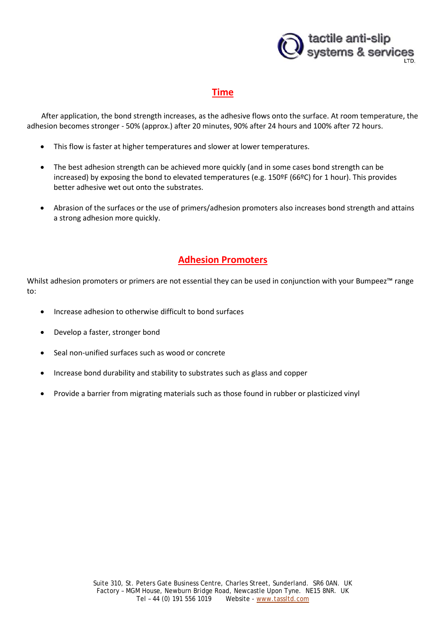

## **Time**

After application, the bond strength increases, as the adhesive flows onto the surface. At room temperature, the adhesion becomes stronger - 50% (approx.) after 20 minutes, 90% after 24 hours and 100% after 72 hours.

- This flow is faster at higher temperatures and slower at lower temperatures.
- The best adhesion strength can be achieved more quickly (and in some cases bond strength can be increased) by exposing the bond to elevated temperatures (e.g. 150ºF (66ºC) for 1 hour). This provides better adhesive wet out onto the substrates.
- Abrasion of the surfaces or the use of primers/adhesion promoters also increases bond strength and attains a strong adhesion more quickly.

## **Adhesion Promoters**

Whilst adhesion promoters or primers are not essential they can be used in conjunction with your Bumpeez™ range to:

- Increase adhesion to otherwise difficult to bond surfaces
- Develop a faster, stronger bond
- Seal non-unified surfaces such as wood or concrete
- Increase bond durability and stability to substrates such as glass and copper
- Provide a barrier from migrating materials such as those found in rubber or plasticized vinyl